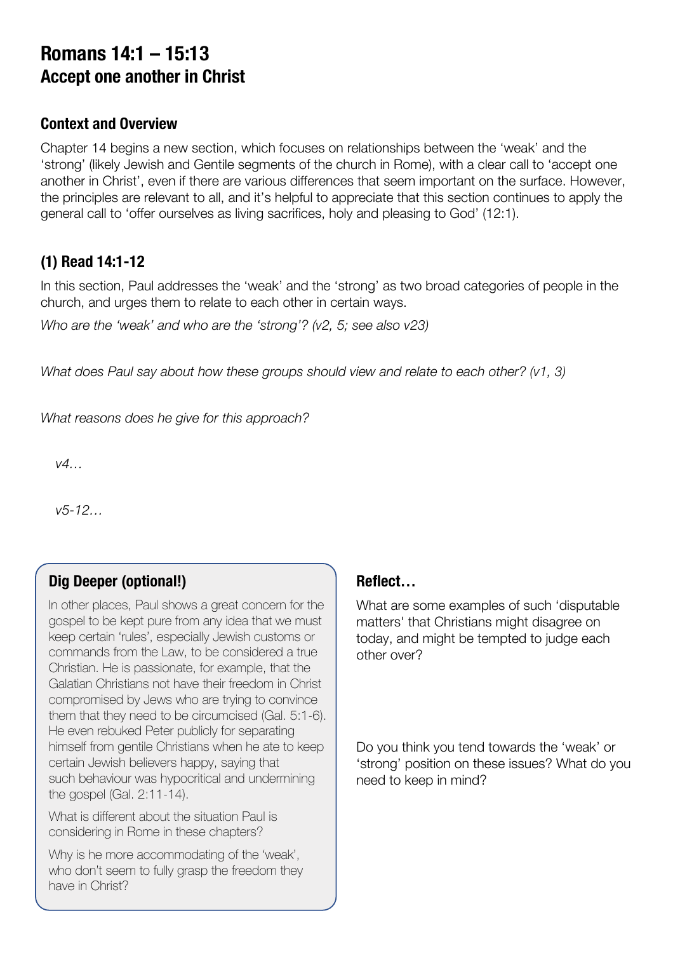# **Romans 14:1 – 15:13 Accept one another in Christ**

#### **Context and Overview**

Chapter 14 begins a new section, which focuses on relationships between the 'weak' and the 'strong' (likely Jewish and Gentile segments of the church in Rome), with a clear call to 'accept one another in Christ', even if there are various differences that seem important on the surface. However, the principles are relevant to all, and it's helpful to appreciate that this section continues to apply the general call to 'offer ourselves as living sacrifices, holy and pleasing to God' (12:1).

#### **(1) Read 14:1-12**

In this section, Paul addresses the 'weak' and the 'strong' as two broad categories of people in the church, and urges them to relate to each other in certain ways.

*Who are the 'weak' and who are the 'strong'? (v2, 5; see also v23)*

*What does Paul say about how these groups should view and relate to each other? (v1, 3)*

*What reasons does he give for this approach?*

*v4…*

*v5-12…*

## **Dig Deeper (optional!)**

In other places, Paul shows a great concern for the gospel to be kept pure from any idea that we must keep certain 'rules', especially Jewish customs or commands from the Law, to be considered a true Christian. He is passionate, for example, that the Galatian Christians not have their freedom in Christ compromised by Jews who are trying to convince them that they need to be circumcised (Gal. 5:1-6). He even rebuked Peter publicly for separating himself from gentile Christians when he ate to keep certain Jewish believers happy, saying that such behaviour was hypocritical and undermining the gospel (Gal. 2:11-14).

What is different about the situation Paul is considering in Rome in these chapters?

Why is he more accommodating of the 'weak', who don't seem to fully grasp the freedom they have in Christ?

#### **Reflect…**

What are some examples of such 'disputable matters' that Christians might disagree on today, and might be tempted to judge each other over?

Do you think you tend towards the 'weak' or 'strong' position on these issues? What do you need to keep in mind?